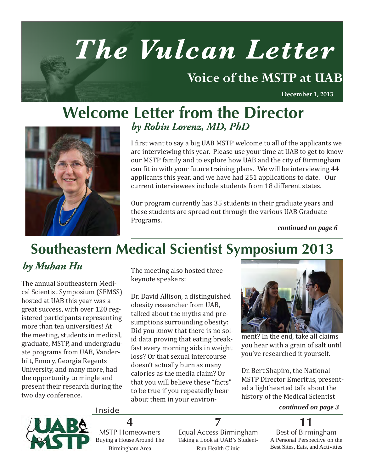# *The Vulcan Letter*

# **Voice of the MSTP at UAB**

**December 1, 2013**

# **Welcome Letter from the Director** *by Robin Lorenz, MD, PhD*



I first want to say a big UAB MSTP welcome to all of the applicants we are interviewing this year. Please use your time at UAB to get to know our MSTP family and to explore how UAB and the city of Birmingham can fit in with your future training plans. We will be interviewing 44 applicants this year, and we have had 251 applications to date. Our current interviewees include students from 18 different states.

Our program currently has 35 students in their graduate years and these students are spread out through the various UAB Graduate Programs.

*continued on page 6*

# **Southeastern Medical Scientist Symposium 2013**

# *by Muhan Hu*

The annual Southeastern Medical Scientist Symposium (SEMSS) hosted at UAB this year was a great success, with over 120 registered participants representing more than ten universities! At the meeting, students in medical, graduate, MSTP, and undergraduate programs from UAB, Vanderbilt, Emory, Georgia Regents University, and many more, had the opportunity to mingle and present their research during the two day conference.

The meeting also hosted three keynote speakers:

Dr. David Allison, a distinguished obesity researcher from UAB, talked about the myths and presumptions surrounding obesity: Did you know that there is no solid data proving that eating breakfast every morning aids in weight loss? Or that sexual intercourse doesn't actually burn as many calories as the media claim? Or that you will believe these "facts" to be true if you repeatedly hear about them in your environ-



ment? In the end, take all claims you hear with a grain of salt until you've researched it yourself.

Dr. Bert Shapiro, the National MSTP Director Emeritus, presented a lighthearted talk about the history of the Medical Scientist

#### Inside *continued on page 3*

**11**

Best of Birmingham A Personal Perspective on the Best Sites, Eats, and Activities



MSTP Homeowners Buying a House Around The Birmingham Area

**4**

Equal Access Birmingham Taking a Look at UAB's Student-Run Health Clinic

**7**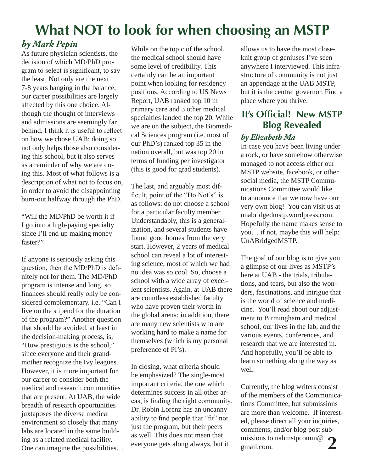# **What NOT to look for when choosing an MSTP**

### *by Mark Pepin*

As future physician scientists, the decision of which MD/PhD program to select is significant, to say the least. Not only are the next 7-8 years hanging in the balance, our career possibilities are largely affected by this one choice. Although the thought of interviews and admissions are seemingly far behind, I think it is useful to reflect on how we chose UAB; doing so not only helps those also considering this school, but it also serves as a reminder of why we are doing this. Most of what follows is a description of what not to focus on, in order to avoid the disappointing burn-out halfway through the PhD.

"Will the MD/PhD be worth it if I go into a high-paying specialty since I'll end up making money faster?"

If anyone is seriously asking this question, then the MD/PhD is definitely not for them. The MD/PhD program is intense and long, so finances should really only be considered complementary. i.e. "Can I live on the stipend for the duration of the program?" Another question that should be avoided, at least in the decision-making process, is, "How prestigious is the school," since everyone and their grandmother recognize the Ivy leagues. However, it is more important for our career to consider both the medical and research communities that are present. At UAB, the wide breadth of research opportunities juxtaposes the diverse medical environment so closely that many labs are located in the same building as a related medical facility. One can imagine the possibilities… While on the topic of the school, the medical school should have some level of credibility. This certainly can be an important point when looking for residency positions. According to US News Report, UAB ranked top 10 in primary care and 3 other medical specialties landed the top 20. While we are on the subject, the Biomedical Sciences program (i.e. most of our PhD's) ranked top 35 in the nation overall, but was top 20 in terms of funding per investigator (this is good for grad students).

The last, and arguably most difficult, point of the "Do Not's" is as follows: do not choose a school for a particular faculty member. Understandably, this is a generalization, and several students have found good homes from the very start. However, 2 years of medical school can reveal a lot of interesting science, most of which we had no idea was so cool. So, choose a school with a wide array of excellent scientists. Again, at UAB there are countless established faculty who have proven their worth in the global arena; in addition, there are many new scientists who are working hard to make a name for themselves (which is my personal preference of PI's).

In closing, what criteria should be emphasized? The single-most important criteria, the one which determines success in all other areas, is finding the right community. Dr. Robin Lorenz has an uncanny ability to find people that "fit" not just the program, but their peers as well. This does not mean that everyone gets along always, but it

allows us to have the most closeknit group of geniuses I've seen anywhere I interviewed. This infrastructure of community is not just an appendage at the UAB MSTP, but it is the central governor. Find a place where you thrive.

## **It's Official! New MSTP Blog Revealed**

#### *by Elizabeth Ma*

In case you have been living under a rock, or have somehow otherwise managed to not access either our MSTP website, facebook, or other social media, the MSTP Communications Committee would like to announce that we now have our very own blog! You can visit us at unabridgedmstp.wordpress.com. Hopefully the name makes sense to you… if not, maybe this will help: UnABridgedMSTP.

The goal of our blog is to give you a glimpse of our lives as MSTP's here at UAB - the trials, tribulations, and tears, but also the wonders, fascinations, and intrigue that is the world of science and medicine. You'll read about our adjustment to Birmingham and medical school, our lives in the lab, and the various events, conferences, and research that we are interested in. And hopefully, you'll be able to learn something along the way as well.

Currently, the blog writers consist of the members of the Communications Committee, but submissions are more than welcome. If interested, please direct all your inquiries, comments, and/or blog post submissions to uabmstpcomm@ gmail.com. **2**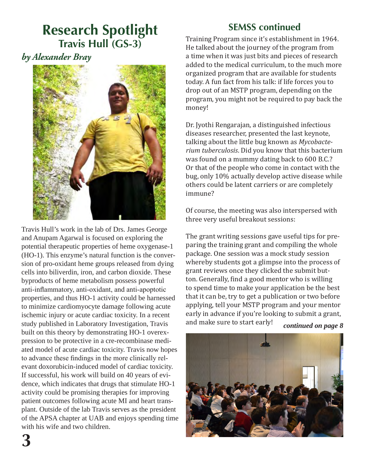# **Research Spotlight Travis Hull (GS-3)**

*by Alexander Bray*



Travis Hull's work in the lab of Drs. James George and Anupam Agarwal is focused on exploring the potential therapeutic properties of heme oxygenase-1 (HO-1). This enzyme's natural function is the conversion of pro-oxidant heme groups released from dying cells into biliverdin, iron, and carbon dioxide. These byproducts of heme metabolism possess powerful anti-inflammatory, anti-oxidant, and anti-apoptotic properties, and thus HO-1 activity could be harnessed to minimize cardiomyocyte damage following acute ischemic injury or acute cardiac toxicity. In a recent study published in Laboratory Investigation, Travis built on this theory by demonstrating HO-1 overexpression to be protective in a cre-recombinase mediated model of acute cardiac toxicity. Travis now hopes to advance these findings in the more clinically relevant doxorubicin-induced model of cardiac toxicity. If successful, his work will build on 40 years of evidence, which indicates that drugs that stimulate HO-1 activity could be promising therapies for improving patient outcomes following acute MI and heart transplant. Outside of the lab Travis serves as the president of the APSA chapter at UAB and enjoys spending time with his wife and two children.

### **SEMSS continued**

Training Program since it's establishment in 1964. He talked about the journey of the program from a time when it was just bits and pieces of research added to the medical curriculum, to the much more organized program that are available for students today. A fun fact from his talk: if life forces you to drop out of an MSTP program, depending on the program, you might not be required to pay back the money!

Dr. Jyothi Rengarajan, a distinguished infectious diseases researcher, presented the last keynote, talking about the little bug known as *Mycobacterium tuberculosis*. Did you know that this bacterium was found on a mummy dating back to 600 B.C.? Or that of the people who come in contact with the bug, only 10% actually develop active disease while others could be latent carriers or are completely immune?

Of course, the meeting was also interspersed with three very useful breakout sessions:

The grant writing sessions gave useful tips for preparing the training grant and compiling the whole package. One session was a mock study session whereby students got a glimpse into the process of grant reviews once they clicked the submit button. Generally, find a good mentor who is willing to spend time to make your application be the best that it can be, try to get a publication or two before applying, tell your MSTP program and your mentor early in advance if you're looking to submit a grant, and make sure to start early!

*continued on page 8*

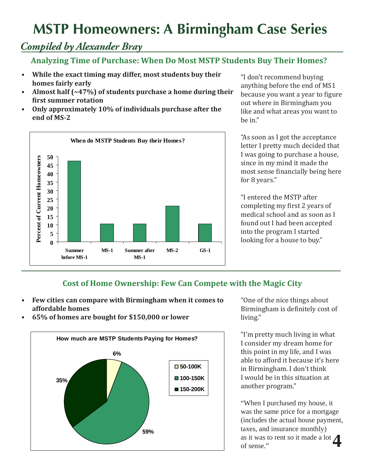# **MSTP Homeowners: A Birmingham Case Series**

## *Compiled by Alexander Bray*

#### **Analyzing Time of Purchase: When Do Most MSTP Students Buy Their Homes?**

- **• While the exact timing may differ, most students buy their homes fairly early**
- **• Almost half (~47%) of students purchase a home during their first summer rotation**
- **• Only approximately 10% of individuals purchase after the end of MS-2**



"I don't recommend buying anything before the end of MS1 because you want a year to figure out where in Birmingham you like and what areas you want to be in."

"As soon as I got the acceptance letter I pretty much decided that I was going to purchase a house, since in my mind it made the most sense financially being here for 8 years."

"I entered the MSTP after completing my first 2 years of medical school and as soon as I found out I had been accepted into the program I started looking for a house to buy."

#### **Cost of Home Ownership: Few Can Compete with the Magic City**

- **• Few cities can compare with Birmingham when it comes to affordable homes**
- **• 65% of homes are bought for \$150,000 or lower**



"One of the nice things about Birmingham is definitely cost of living."

"I'm pretty much living in what I consider my dream home for this point in my life, and I was able to afford it because it's here in Birmingham. I don't think I would be in this situation at another program."

"When I purchased my house, it was the same price for a mortgage (includes the actual house payment, taxes, and insurance monthly) as it was to rent so it made a lot **4**of sense."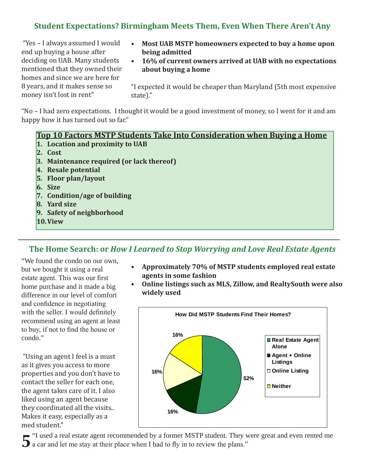#### **Student Expectations? Birmingham Meets Them, Even When There Aren't Any**

 "Yes – I always assumed I would end up buying a house after deciding on UAB. Many students mentioned that they owned their homes and since we are here for 8 years, and it makes sense so money isn't lost in rent"

- **• Most UAB MSTP homeowners expected to buy a home upon being admitted**
- **• 16% of current owners arrived at UAB with no expectations about buying a home**

"I expected it would be cheaper than Maryland (5th most expensive state)."

"No – I had zero expectations. I thought it would be a good investment of money, so I went for it and am happy how it has turned out so far."

#### **Top 10 Factors MSTP Students Take Into Consideration when Buying a Home**

- **1. Location and proximity to UAB**
- **2. Cost**
- **3. Maintenance required (or lack thereof)**
- **4. Resale potential**
- **5. Floor plan/layout**
- **6. Size**
- **7. Condition/age of building**
- **8. Yard size**
- **9. Safety of neighborhood**
- **10. View**

#### **The Home Search: or** *How I Learned to Stop Worrying and Love Real Estate Agents*

"We found the condo on our own, but we bought it using a real estate agent. This was our first home purchase and it made a big difference in our level of comfort and confidence in negotiating with the seller. I would definitely recommend using an agent at least to buy, if not to find the house or condo."

 "Using an agent I feel is a must as it gives you access to more properties and you don't have to contact the seller for each one, the agent takes care of it. I also liked using an agent because they coordinated all the visits.. Makes it easy, especially as a med student."

- **• Approximately 70% of MSTP students employed real estate agents in some fashion**
- **• Online listings such as MLS, Zillow, and RealtySouth were also widely used**



"I used a real estate agent recommended by a former MSTP student. They were great and even rented me **5** "I used a real estate agent recommended by a former MSTP student. They v a car and let me stay at their place when I had to fly in to review the plans."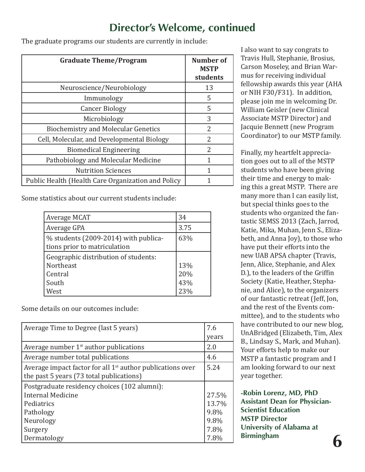### **Director's Welcome, continued**

The graduate programs our students are currently in include:

| <b>Graduate Theme/Program</b>                      | <b>Number of</b><br><b>MSTP</b><br>students |
|----------------------------------------------------|---------------------------------------------|
| Neuroscience/Neurobiology                          | 13                                          |
| Immunology                                         | 5                                           |
| <b>Cancer Biology</b>                              | 5                                           |
| Microbiology                                       | 3                                           |
| <b>Biochemistry and Molecular Genetics</b>         | $\mathcal{P}$                               |
| Cell, Molecular, and Developmental Biology         | $\mathcal{P}$                               |
| <b>Biomedical Engineering</b>                      | 2                                           |
| Pathobiology and Molecular Medicine                | 1                                           |
| <b>Nutrition Sciences</b>                          | 1                                           |
| Public Health (Health Care Organization and Policy |                                             |

Some statistics about our current students include:

| Average MCAT                                                         | 34   |
|----------------------------------------------------------------------|------|
| Average GPA                                                          | 3.75 |
| % students (2009-2014) with publica-<br>tions prior to matriculation | 63%  |
| Geographic distribution of students:                                 |      |
| Northeast                                                            | 13%  |
| Central                                                              | 20%  |
| South                                                                | 43%  |
| West                                                                 | 23%  |

Some details on our outcomes include:

| Average Time to Degree (last 5 years)                        | 7.6   |
|--------------------------------------------------------------|-------|
|                                                              | years |
| Average number $1st$ author publications                     | 2.0   |
| Average number total publications                            | 4.6   |
| Average impact factor for all $1st$ author publications over | 5.24  |
| the past 5 years (73 total publications)                     |       |
| Postgraduate residency choices (102 alumni):                 |       |
| Internal Medicine                                            | 27.5% |
| Pediatrics                                                   | 13.7% |
| Pathology                                                    | 9.8%  |
| Neurology                                                    | 9.8%  |
| Surgery                                                      | 7.8%  |
| Dermatology                                                  | 7.8%  |

I also want to say congrats to Travis Hull, Stephanie, Brosius, Carson Moseley, and Brian Warmus for receiving individual fellowship awards this year (AHA or NIH F30/F31). In addition, please join me in welcoming Dr. William Geisler (new Clinical Associate MSTP Director) and Jacquie Bennett (new Program Coordinator) to our MSTP family.

Finally, my heartfelt appreciation goes out to all of the MSTP students who have been giving their time and energy to making this a great MSTP. There are many more than I can easily list, but special thinks goes to the students who organized the fantastic SEMSS 2013 (Zach, Jarrod, Katie, Mika, Muhan, Jenn S., Elizabeth, and Anna Joy), to those who have put their efforts into the new UAB APSA chapter (Travis, Jenn, Alice, Stephanie, and Alex D.), to the leaders of the Griffin Society (Katie, Heather, Stephanie, and Alice), to the organizers of our fantastic retreat (Jeff, Jon, and the rest of the Events committee), and to the students who have contributed to our new blog, UnABridged (Elizabeth, Tim, Alex B., Lindsay S., Mark, and Muhan). Your efforts help to make our MSTP a fantastic program and I am looking forward to our next year together.

**-Robin Lorenz, MD, PhD Assistant Dean for Physician-Scientist Education MSTP Director University of Alabama at Birmingham 6**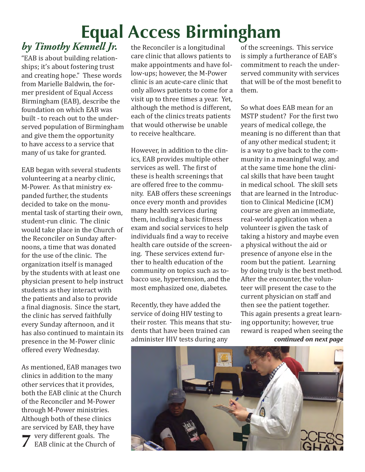# **Equal Access Birmingham**

# *by Timothy Kennell Jr.*

"EAB is about building relationships; it's about fostering trust and creating hope." These words from Marielle Baldwin, the former president of Equal Access Birmingham (EAB), describe the foundation on which EAB was built - to reach out to the underserved population of Birmingham and give them the opportunity to have access to a service that many of us take for granted.

EAB began with several students volunteering at a nearby clinic, M-Power. As that ministry expanded further, the students decided to take on the monumental task of starting their own, student-run clinic. The clinic would take place in the Church of the Reconciler on Sunday afternoons, a time that was donated for the use of the clinic. The organization itself is managed by the students with at least one physician present to help instruct students as they interact with the patients and also to provide a final diagnosis. Since the start, the clinic has served faithfully every Sunday afternoon, and it has also continued to maintain its presence in the M-Power clinic offered every Wednesday.

As mentioned, EAB manages two clinics in addition to the many other services that it provides, both the EAB clinic at the Church of the Reconciler and M-Power through M-Power ministries. Although both of these clinics are serviced by EAB, they have very different goals. The EAB clinic at the Church of **7**

the Reconciler is a longitudinal care clinic that allows patients to make appointments and have follow-ups; however, the M-Power clinic is an acute-care clinic that only allows patients to come for a visit up to three times a year. Yet, although the method is different, each of the clinics treats patients that would otherwise be unable to receive healthcare.

However, in addition to the clinics, EAB provides multiple other services as well. The first of these is health screenings that are offered free to the community. EAB offers these screenings once every month and provides many health services during them, including a basic fitness exam and social services to help individuals find a way to receive health care outside of the screening. These services extend further to health education of the community on topics such as tobacco use, hypertension, and the most emphasized one, diabetes.

Recently, they have added the service of doing HIV testing to their roster. This means that students that have been trained can administer HIV tests during any

of the screenings. This service is simply a furtherance of EAB's commitment to reach the underserved community with services that will be of the most benefit to them.

So what does EAB mean for an MSTP student? For the first two years of medical college, the meaning is no different than that of any other medical student; it is a way to give back to the community in a meaningful way, and at the same time hone the clinical skills that have been taught in medical school. The skill sets that are learned in the Introduction to Clinical Medicine (ICM) course are given an immediate, real-world application when a volunteer is given the task of taking a history and maybe even a physical without the aid or presence of anyone else in the room but the patient. Learning by doing truly is the best method. After the encounter, the volunteer will present the case to the current physician on staff and then see the patient together. This again presents a great learning opportunity; however, true reward is reaped when seeing the *continued on next page*

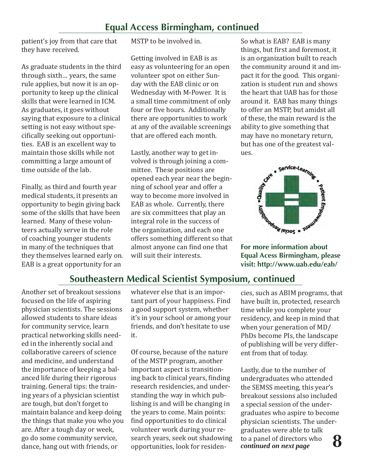#### **Equal Access Birmingham, continued**

patient's joy from that care that they have received.

As graduate students in the third through sixth… years, the same rule applies, but now it is an opportunity to keep up the clinical skills that were learned in ICM. As graduates, it goes without saying that exposure to a clinical setting is not easy without specifically seeking out opportunities. EAB is an excellent way to maintain those skills while not committing a large amount of time outside of the lab.

Finally, as third and fourth year medical students, it presents an opportunity to begin giving back some of the skills that have been learned. Many of these volunteers actually serve in the role of coaching younger students in many of the techniques that they themselves learned early on. EAB is a great opportunity for an

MSTP to be involved in.

Getting involved in EAB is as easy as volunteering for an open volunteer spot on either Sunday with the EAB clinic or on Wednesday with M-Power. It is a small time commitment of only four or five hours. Additionally there are opportunities to work at any of the available screenings that are offered each month.

Lastly, another way to get involved is through joining a committee. These positions are opened each year near the beginning of school year and offer a way to become more involved in EAB as whole. Currently, there are six committees that play an integral role in the success of the organization, and each one offers something different so that almost anyone can find one that will suit their interests.

So what is EAB? EAB is many things, but first and foremost, it is an organization built to reach the community around it and impact it for the good. This organization is student run and shows the heart that UAB has for those around it. EAB has many things to offer an MSTP, but amidst all of these, the main reward is the ability to give something that may have no monetary return, but has one of the greatest values.



**Equal Acess Birmingham, please visit: http://www.uab.edu/eab/**

#### **Southeastern Medical Scientist Symposium, continued**

Another set of breakout sessions focused on the life of aspiring physician scientists. The sessions allowed students to share ideas for community service, learn practical networking skills needed in the inherently social and collaborative careers of science and medicine, and understand the importance of keeping a balanced life during their rigorous training. General tips: the training years of a physician scientist are tough, but don't forget to maintain balance and keep doing the things that make you who you are. After a tough day or week, go do some community service, dance, hang out with friends, or

whatever else that is an important part of your happiness. Find a good support system, whether it's in your school or among your friends, and don't hesitate to use it.

Of course, because of the nature of the MSTP program, another important aspect is transitioning back to clinical years, finding research residencies, and understanding the way in which publishing is and will be changing in the years to come. Main points: find opportunities to do clinical volunteer work during your research years, seek out shadowing opportunities, look for residencies, such as ABIM programs, that have built in, protected, research time while you complete your residency, and keep in mind that when your generation of MD/ PhDs become PIs, the landscape of publishing will be very different from that of today.

Lastly, due to the number of undergraduates who attended the SEMSS meeting, this year's breakout sessions also included a special session of the undergraduates who aspire to become physician scientists. The undergraduates were able to talk to a panel of directors who<br>continued on next page  **8**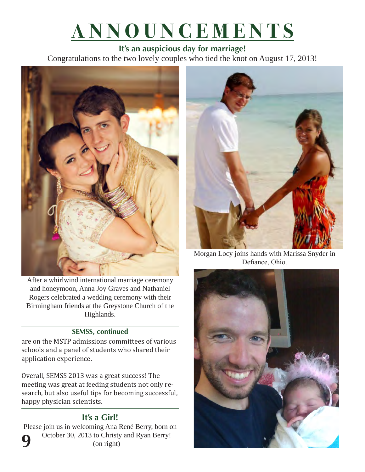# **ANNOUNCEMENTS**

**It's an auspicious day for marriage!** Congratulations to the two lovely couples who tied the knot on August 17, 2013!



After a whirlwind international marriage ceremony and honeymoon, Anna Joy Graves and Nathaniel Rogers celebrated a wedding ceremony with their Birmingham friends at the Greystone Church of the Highlands.

#### **SEMSS, continued**

are on the MSTP admissions committees of various schools and a panel of students who shared their application experience.

Overall, SEMSS 2013 was a great success! The meeting was great at feeding students not only research, but also useful tips for becoming successful, happy physician scientists.

#### **It's a Girl!**

Please join us in welcoming Ana René Berry, born on October 30, 2013 to Christy and Ryan Berry! (on right) **9**



Morgan Locy joins hands with Marissa Snyder in Defiance, Ohio.

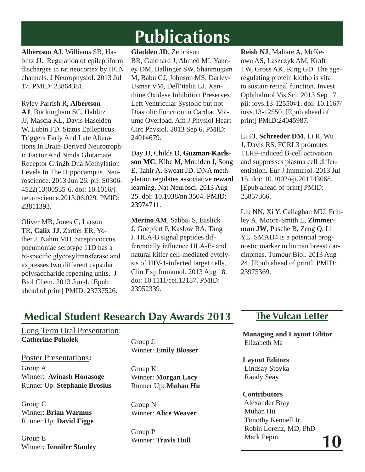# **Publications**

**Albertson AJ**, Williams SB, Hablitz JJ. Regulation of epileptiform discharges in rat neocortex by HCN channels. J Neurophysiol. 2013 Jul 17. PMID: 23864381.

Ryley Parrish R, **Albertson AJ**, Buckingham SC, Hablitz JJ, Mascia KL, Davis Haselden W, Lubin FD. Status Epilepticus Triggers Early And Late Alterations In Brain-Derived Neurotrophic Factor And Nmda Glutamate Receptor Grin2b Dna Methylation Levels In The Hippocampus. Neuroscience. 2013 Jun 26. pii: S0306- 4522(13)00535-6. doi: 10.1016/j. neuroscience.2013.06.029. PMID: 23811393.

Oliver MB, Jones C, Larson TR, **Calix JJ**, Zartler ER, Yother J, Nahm MH. Streptococcus pneumoniae serotype 11D has a bi-specific glycosyltransferase and expresses two different capsular polysaccharide repeating units. J Biol Chem. 2013 Jun 4. [Epub ahead of print] PMID: 23737526.

**Gladden JD**, Zelickson BR, Guichard J, Ahmed MI, Yancey DM, Ballinger SW, Shanmugam M, Babu GJ, Johnson MS, Darley-Usmar VM, Dell'italia LJ. Xanthine Oxidase Inhibition Preserves Left Ventricular Systolic but not Diastolic Function in Cardiac Volume Overload. Am J Physiol Heart Circ Physiol. 2013 Sep 6. PMID: 24014679.

Day JJ, Childs D, **Guzman-Karlsson MC**, Kibe M, Moulden J, Song E, Tahir A, Sweatt JD. DNA methylation regulates associative reward learning. Nat Neurosci. 2013 Aug 25. doi: 10.1038/nn.3504. PMID: 23974711.

**Merino AM**, Sabbaj S, Easlick J, Goepfert P, Kaslow RA, Tang J. HLA-B signal peptides differentially influence HLA-E- and natural killer cell-mediated cytolysis of HIV-1-infected target cells. Clin Exp Immunol. 2013 Aug 18. doi: 10.1111/cei.12187. PMID: 23952339.

**Reish NJ**, Maltare A, McKeown AS, Laszczyk AM, Kraft TW, Gross AK, King GD. The ageregulating protein klotho is vital to sustain retinal function. Invest Ophthalmol Vis Sci. 2013 Sep 17. pii: iovs.13-12550v1. doi: 10.1167/ iovs.13-12550. [Epub ahead of print] PMID:24045987.

Li FJ, **Schreeder DM**, Li R, Wu J, Davis RS. FCRL3 promotes TLR9-induced B-cell activation and suppresses plasma cell differentiation. Eur J Immunol. 2013 Jul 15. doi: 10.1002/eji.201243068. [Epub ahead of print] PMID: 23857366.

Liu NN, Xi Y, Callaghan MU, Fribley A, Moore-Smith L, **Zimmerman JW**, Pasche B, Zeng Q, Li YL. SMAD4 is a potential prognostic marker in human breast carcinomas. Tumour Biol. 2013 Aug 24. [Epub ahead of print]. PMID: 23975369.

# **Medical Student Research Day Awards 2013**

Long Term Oral Presentation: **Catherine Poholek**

Poster Presentations**:** Group A Winner: **Avinash Honasoge** Runner Up: **Stephanie Brosius**

Group C Winner: **Brian Warmus** Runner Up: **David Figge**

Group E Winner: **Jennifer Stanley** Group J: Winner: **Emily Blosser**

Group K Winner: **Morgan Locy**  Runner Up: **Muhan Hu**

Group N Winner: **Alice Weaver**

Group P Winner: **Travis Hull**

#### **The Vulcan Letter**

 **Managing and Layout Editor** Elizabeth Ma

 **Layout Editors** Lindsay Stoyka Randy Seay

 **Contributors** Alexander Bray Muhan Hu Timothy Kennell Jr. Robin Lorenz, MD, PhD Mark Pepin  **10**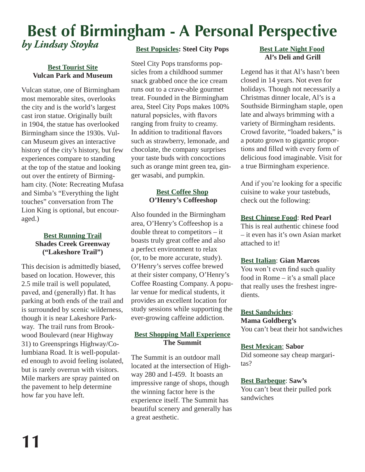# **Best of Birmingham - A Personal Perspective** *by Lindsay Stoyka*

#### **Best Tourist Site Vulcan Park and Museum**

Vulcan statue, one of Birmingham most memorable sites, overlooks the city and is the world's largest cast iron statue. Originally built in 1904, the statue has overlooked Birmingham since the 1930s. Vulcan Museum gives an interactive history of the city's history, but few experiences compare to standing at the top of the statue and looking out over the entirety of Birmingham city. (Note: Recreating Mufasa and Simba's "Everything the light touches" conversation from The Lion King is optional, but encouraged.)

#### **Best Running Trail Shades Creek Greenway ("Lakeshore Trail")**

This decision is admittedly biased, based on location. However, this 2.5 mile trail is well populated, paved, and (generally) flat. It has parking at both ends of the trail and is surrounded by scenic wilderness, though it is near Lakeshore Parkway. The trail runs from Brookwood Boulevard (near Highway 31) to Greensprings Highway/Columbiana Road. It is well-populated enough to avoid feeling isolated, but is rarely overrun with visitors. Mile markers are spray painted on the pavement to help determine how far you have left.

#### **Best Popsicles: Steel City Pops**

Steel City Pops transforms popsicles from a childhood summer snack grabbed once the ice cream runs out to a crave-able gourmet treat. Founded in the Birmingham area, Steel City Pops makes 100% natural popsicles, with flavors ranging from fruity to creamy. In addition to traditional flavors such as strawberry, lemonade, and chocolate, the company surprises your taste buds with concoctions such as orange mint green tea, ginger wasabi, and pumpkin.

#### **Best Coffee Shop O'Henry's Coffeeshop**

Also founded in the Birmingham area, O'Henry's Coffeeshop is a double threat to competitors – it boasts truly great coffee and also a perfect environment to relax (or, to be more accurate, study). O'Henry's serves coffee brewed at their sister company, O'Henry's Coffee Roasting Company. A popular venue for medical students, it provides an excellent location for study sessions while supporting the ever-growing caffeine addiction.

#### **Best Shopping Mall Experience The Summit**

The Summit is an outdoor mall located at the intersection of Highway 280 and I-459. It boasts an impressive range of shops, though the winning factor here is the experience itself. The Summit has beautiful scenery and generally has a great aesthetic.

#### **Best Late Night Food Al's Deli and Grill**

Legend has it that Al's hasn't been closed in 14 years. Not even for holidays. Though not necessarily a Christmas dinner locale, Al's is a Southside Birmingham staple, open late and always brimming with a variety of Birmingham residents. Crowd favorite, "loaded bakers," is a potato grown to gigantic proportions and filled with every form of delicious food imaginable. Visit for a true Birmingham experience.

And if you're looking for a specific cuisine to wake your tastebuds, check out the following:

#### **Best Chinese Food**: **Red Pearl**

This is real authentic chinese food – it even has it's own Asian market attached to it!

#### **Best Italian**: **Gian Marcos**

You won't even find such quality food in Rome – it's a small place that really uses the freshest ingredients.

### **Best Sandwiches**:

**Mama Goldberg's** You can't beat their hot sandwiches

#### **Best Mexican**: **Sabor**

Did someone say cheap margaritas?

#### **Best Barbeque**: **Saw's**

You can't beat their pulled pork sandwiches